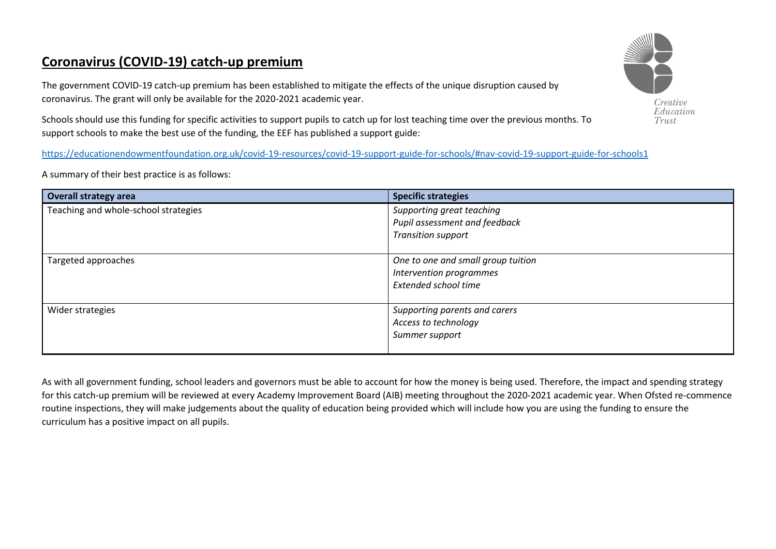## **Coronavirus (COVID-19) catch-up premium**

The government COVID-19 catch-up premium has been established to mitigate the effects of the unique disruption caused by coronavirus. The grant will only be available for the 2020-2021 academic year.

Schools should use this funding for specific activities to support pupils to catch up for lost teaching time over the previous months. To support schools to make the best use of the funding, the EEF has published a support guide:

<https://educationendowmentfoundation.org.uk/covid-19-resources/covid-19-support-guide-for-schools/#nav-covid-19-support-guide-for-schools1>

A summary of their best practice is as follows:

| <b>Overall strategy area</b>         | <b>Specific strategies</b>                                                              |
|--------------------------------------|-----------------------------------------------------------------------------------------|
| Teaching and whole-school strategies | Supporting great teaching<br>Pupil assessment and feedback<br><b>Transition support</b> |
| Targeted approaches                  | One to one and small group tuition<br>Intervention programmes<br>Extended school time   |
| Wider strategies                     | Supporting parents and carers<br>Access to technology<br>Summer support                 |

As with all government funding, school leaders and governors must be able to account for how the money is being used. Therefore, the impact and spending strategy for this catch-up premium will be reviewed at every Academy Improvement Board (AIB) meeting throughout the 2020-2021 academic year. When Ofsted re-commence routine inspections, they will make judgements about the quality of education being provided which will include how you are using the funding to ensure the curriculum has a positive impact on all pupils.

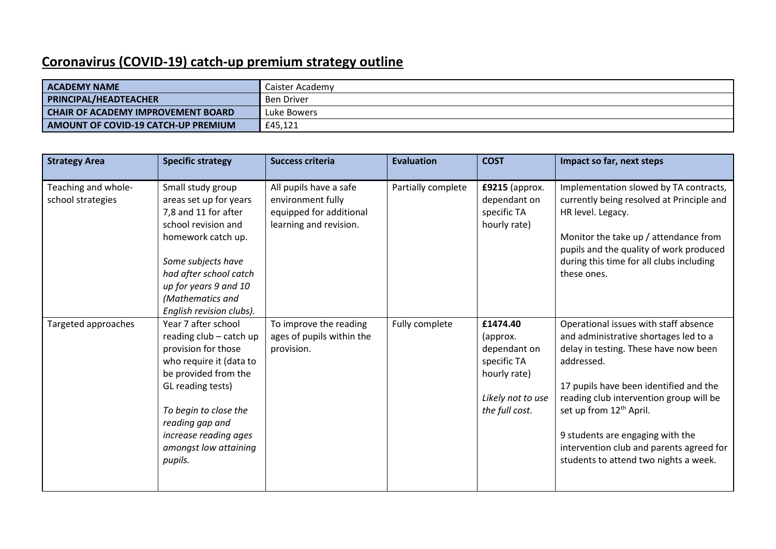## **Coronavirus (COVID-19) catch-up premium strategy outline**

| <b>ACADEMY NAME</b>                  | Caister Academy |
|--------------------------------------|-----------------|
| <b>PRINCIPAL/HEADTEACHER</b>         | Ben Driver      |
| I CHAIR OF ACADEMY IMPROVEMENT BOARD | Luke Bowers     |
| AMOUNT OF COVID-19 CATCH-UP PREMIUM  | £45,121         |

| <b>Strategy Area</b>                     | <b>Specific strategy</b>                                                                                                                                                                                                                               | <b>Success criteria</b>                                                                          | <b>Evaluation</b>  | <b>COST</b>                                                                                                | Impact so far, next steps                                                                                                                                                                                                                                                                                                                                                                  |
|------------------------------------------|--------------------------------------------------------------------------------------------------------------------------------------------------------------------------------------------------------------------------------------------------------|--------------------------------------------------------------------------------------------------|--------------------|------------------------------------------------------------------------------------------------------------|--------------------------------------------------------------------------------------------------------------------------------------------------------------------------------------------------------------------------------------------------------------------------------------------------------------------------------------------------------------------------------------------|
| Teaching and whole-<br>school strategies | Small study group<br>areas set up for years<br>7,8 and 11 for after<br>school revision and<br>homework catch up.<br>Some subjects have<br>had after school catch<br>up for years 9 and 10<br>(Mathematics and<br>English revision clubs).              | All pupils have a safe<br>environment fully<br>equipped for additional<br>learning and revision. | Partially complete | £9215 (approx.<br>dependant on<br>specific TA<br>hourly rate)                                              | Implementation slowed by TA contracts,<br>currently being resolved at Principle and<br>HR level. Legacy.<br>Monitor the take up / attendance from<br>pupils and the quality of work produced<br>during this time for all clubs including<br>these ones.                                                                                                                                    |
| Targeted approaches                      | Year 7 after school<br>reading club - catch up<br>provision for those<br>who require it (data to<br>be provided from the<br>GL reading tests)<br>To begin to close the<br>reading gap and<br>increase reading ages<br>amongst low attaining<br>pupils. | To improve the reading<br>ages of pupils within the<br>provision.                                | Fully complete     | £1474.40<br>(approx.<br>dependant on<br>specific TA<br>hourly rate)<br>Likely not to use<br>the full cost. | Operational issues with staff absence<br>and administrative shortages led to a<br>delay in testing. These have now been<br>addressed.<br>17 pupils have been identified and the<br>reading club intervention group will be<br>set up from 12 <sup>th</sup> April.<br>9 students are engaging with the<br>intervention club and parents agreed for<br>students to attend two nights a week. |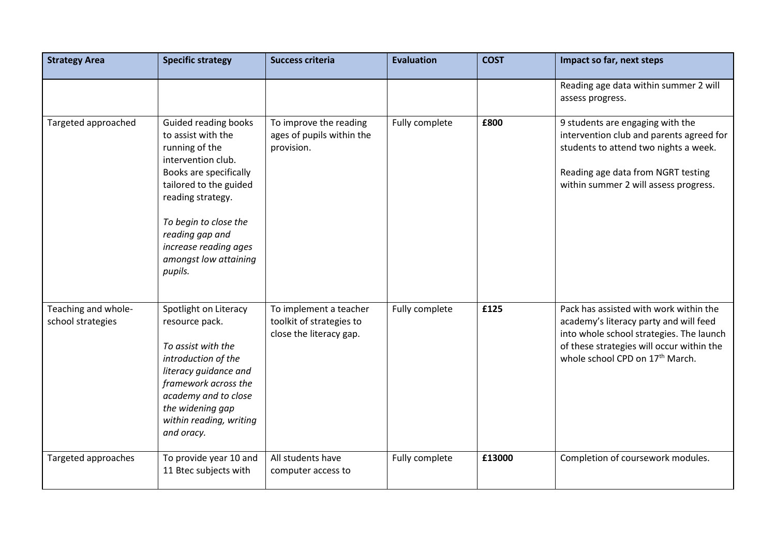| <b>Strategy Area</b>                     | <b>Specific strategy</b>                                                                                                                                                                                                                                             | <b>Success criteria</b>                                                       | <b>Evaluation</b> | <b>COST</b> | Impact so far, next steps                                                                                                                                                                                                |
|------------------------------------------|----------------------------------------------------------------------------------------------------------------------------------------------------------------------------------------------------------------------------------------------------------------------|-------------------------------------------------------------------------------|-------------------|-------------|--------------------------------------------------------------------------------------------------------------------------------------------------------------------------------------------------------------------------|
|                                          |                                                                                                                                                                                                                                                                      |                                                                               |                   |             | Reading age data within summer 2 will<br>assess progress.                                                                                                                                                                |
| Targeted approached                      | Guided reading books<br>to assist with the<br>running of the<br>intervention club.<br>Books are specifically<br>tailored to the guided<br>reading strategy.<br>To begin to close the<br>reading gap and<br>increase reading ages<br>amongst low attaining<br>pupils. | To improve the reading<br>ages of pupils within the<br>provision.             | Fully complete    | £800        | 9 students are engaging with the<br>intervention club and parents agreed for<br>students to attend two nights a week.<br>Reading age data from NGRT testing<br>within summer 2 will assess progress.                     |
| Teaching and whole-<br>school strategies | Spotlight on Literacy<br>resource pack.<br>To assist with the<br>introduction of the<br>literacy guidance and<br>framework across the<br>academy and to close<br>the widening gap<br>within reading, writing<br>and oracy.                                           | To implement a teacher<br>toolkit of strategies to<br>close the literacy gap. | Fully complete    | £125        | Pack has assisted with work within the<br>academy's literacy party and will feed<br>into whole school strategies. The launch<br>of these strategies will occur within the<br>whole school CPD on 17 <sup>th</sup> March. |
| Targeted approaches                      | To provide year 10 and<br>11 Btec subjects with                                                                                                                                                                                                                      | All students have<br>computer access to                                       | Fully complete    | £13000      | Completion of coursework modules.                                                                                                                                                                                        |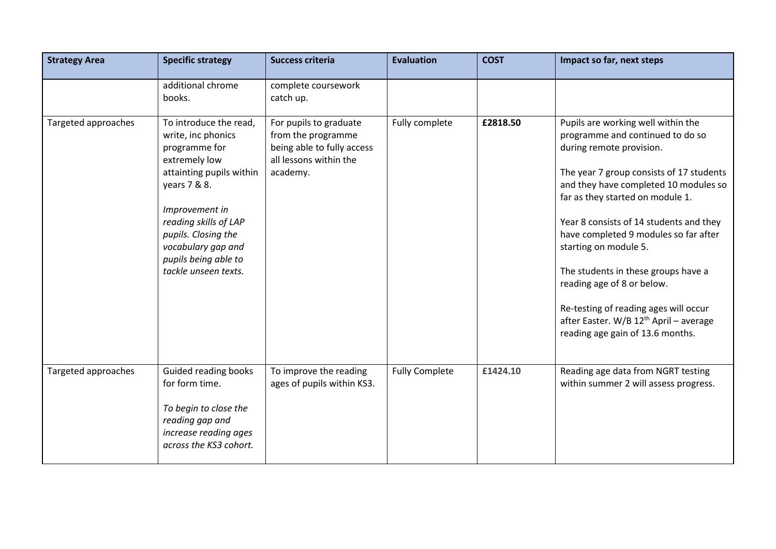| <b>Strategy Area</b> | <b>Specific strategy</b>                                                                                                                                                                                                                                           | <b>Success criteria</b>                                                                                          | <b>Evaluation</b>     | <b>COST</b> | Impact so far, next steps                                                                                                                                                                                                                                                                                                                                                                                                                                                                                                                        |
|----------------------|--------------------------------------------------------------------------------------------------------------------------------------------------------------------------------------------------------------------------------------------------------------------|------------------------------------------------------------------------------------------------------------------|-----------------------|-------------|--------------------------------------------------------------------------------------------------------------------------------------------------------------------------------------------------------------------------------------------------------------------------------------------------------------------------------------------------------------------------------------------------------------------------------------------------------------------------------------------------------------------------------------------------|
|                      | additional chrome<br>books.                                                                                                                                                                                                                                        | complete coursework<br>catch up.                                                                                 |                       |             |                                                                                                                                                                                                                                                                                                                                                                                                                                                                                                                                                  |
| Targeted approaches  | To introduce the read,<br>write, inc phonics<br>programme for<br>extremely low<br>attainting pupils within<br>years 7 & 8.<br>Improvement in<br>reading skills of LAP<br>pupils. Closing the<br>vocabulary gap and<br>pupils being able to<br>tackle unseen texts. | For pupils to graduate<br>from the programme<br>being able to fully access<br>all lessons within the<br>academy. | Fully complete        | £2818.50    | Pupils are working well within the<br>programme and continued to do so<br>during remote provision.<br>The year 7 group consists of 17 students<br>and they have completed 10 modules so<br>far as they started on module 1.<br>Year 8 consists of 14 students and they<br>have completed 9 modules so far after<br>starting on module 5.<br>The students in these groups have a<br>reading age of 8 or below.<br>Re-testing of reading ages will occur<br>after Easter. W/B 12 <sup>th</sup> April - average<br>reading age gain of 13.6 months. |
| Targeted approaches  | Guided reading books<br>for form time.<br>To begin to close the<br>reading gap and<br>increase reading ages<br>across the KS3 cohort.                                                                                                                              | To improve the reading<br>ages of pupils within KS3.                                                             | <b>Fully Complete</b> | £1424.10    | Reading age data from NGRT testing<br>within summer 2 will assess progress.                                                                                                                                                                                                                                                                                                                                                                                                                                                                      |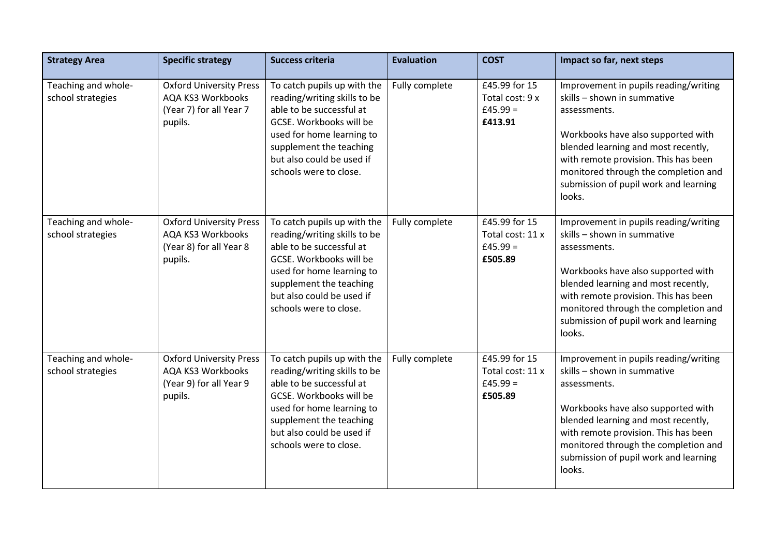| <b>Strategy Area</b>                     | <b>Specific strategy</b>                                                                         | <b>Success criteria</b>                                                                                                                                                                                                           | <b>Evaluation</b> | <b>COST</b>                                                | Impact so far, next steps                                                                                                                                                                                                                                                                            |
|------------------------------------------|--------------------------------------------------------------------------------------------------|-----------------------------------------------------------------------------------------------------------------------------------------------------------------------------------------------------------------------------------|-------------------|------------------------------------------------------------|------------------------------------------------------------------------------------------------------------------------------------------------------------------------------------------------------------------------------------------------------------------------------------------------------|
| Teaching and whole-<br>school strategies | <b>Oxford University Press</b><br>AQA KS3 Workbooks<br>(Year 7) for all Year 7<br>pupils.        | To catch pupils up with the<br>reading/writing skills to be<br>able to be successful at<br>GCSE. Workbooks will be<br>used for home learning to<br>supplement the teaching<br>but also could be used if<br>schools were to close. | Fully complete    | £45.99 for 15<br>Total cost: 9 x<br>$£45.99 =$<br>£413.91  | Improvement in pupils reading/writing<br>skills - shown in summative<br>assessments.<br>Workbooks have also supported with<br>blended learning and most recently,<br>with remote provision. This has been<br>monitored through the completion and<br>submission of pupil work and learning<br>looks. |
| Teaching and whole-<br>school strategies | <b>Oxford University Press</b><br>AQA KS3 Workbooks<br>(Year 8) for all Year 8<br>pupils.        | To catch pupils up with the<br>reading/writing skills to be<br>able to be successful at<br>GCSE. Workbooks will be<br>used for home learning to<br>supplement the teaching<br>but also could be used if<br>schools were to close. | Fully complete    | £45.99 for 15<br>Total cost: 11 x<br>$£45.99 =$<br>£505.89 | Improvement in pupils reading/writing<br>skills - shown in summative<br>assessments.<br>Workbooks have also supported with<br>blended learning and most recently,<br>with remote provision. This has been<br>monitored through the completion and<br>submission of pupil work and learning<br>looks. |
| Teaching and whole-<br>school strategies | <b>Oxford University Press</b><br><b>AQA KS3 Workbooks</b><br>(Year 9) for all Year 9<br>pupils. | To catch pupils up with the<br>reading/writing skills to be<br>able to be successful at<br>GCSE. Workbooks will be<br>used for home learning to<br>supplement the teaching<br>but also could be used if<br>schools were to close. | Fully complete    | £45.99 for 15<br>Total cost: 11 x<br>$£45.99 =$<br>£505.89 | Improvement in pupils reading/writing<br>skills - shown in summative<br>assessments.<br>Workbooks have also supported with<br>blended learning and most recently,<br>with remote provision. This has been<br>monitored through the completion and<br>submission of pupil work and learning<br>looks. |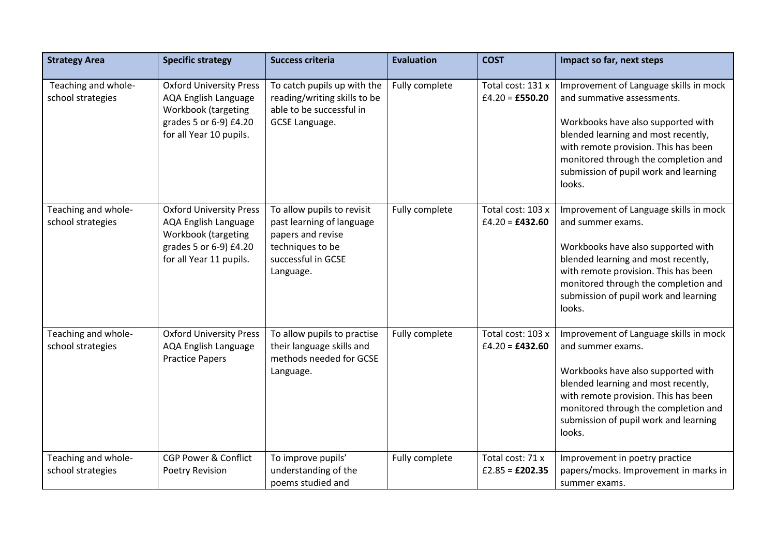| <b>Strategy Area</b>                     | <b>Specific strategy</b>                                                                                                                  | <b>Success criteria</b>                                                                                                             | <b>Evaluation</b> | <b>COST</b>                            | Impact so far, next steps                                                                                                                                                                                                                                                            |
|------------------------------------------|-------------------------------------------------------------------------------------------------------------------------------------------|-------------------------------------------------------------------------------------------------------------------------------------|-------------------|----------------------------------------|--------------------------------------------------------------------------------------------------------------------------------------------------------------------------------------------------------------------------------------------------------------------------------------|
| Teaching and whole-<br>school strategies | <b>Oxford University Press</b><br><b>AQA English Language</b><br>Workbook (targeting<br>grades 5 or 6-9) £4.20<br>for all Year 10 pupils. | To catch pupils up with the<br>reading/writing skills to be<br>able to be successful in<br>GCSE Language.                           | Fully complete    | Total cost: 131 x<br>$£4.20 = £550.20$ | Improvement of Language skills in mock<br>and summative assessments.<br>Workbooks have also supported with<br>blended learning and most recently,<br>with remote provision. This has been<br>monitored through the completion and<br>submission of pupil work and learning<br>looks. |
| Teaching and whole-<br>school strategies | <b>Oxford University Press</b><br><b>AQA English Language</b><br>Workbook (targeting<br>grades 5 or 6-9) £4.20<br>for all Year 11 pupils. | To allow pupils to revisit<br>past learning of language<br>papers and revise<br>techniques to be<br>successful in GCSE<br>Language. | Fully complete    | Total cost: 103 x<br>$£4.20 = £432.60$ | Improvement of Language skills in mock<br>and summer exams.<br>Workbooks have also supported with<br>blended learning and most recently,<br>with remote provision. This has been<br>monitored through the completion and<br>submission of pupil work and learning<br>looks.          |
| Teaching and whole-<br>school strategies | <b>Oxford University Press</b><br><b>AQA English Language</b><br><b>Practice Papers</b>                                                   | To allow pupils to practise<br>their language skills and<br>methods needed for GCSE<br>Language.                                    | Fully complete    | Total cost: 103 x<br>$£4.20 = £432.60$ | Improvement of Language skills in mock<br>and summer exams.<br>Workbooks have also supported with<br>blended learning and most recently,<br>with remote provision. This has been<br>monitored through the completion and<br>submission of pupil work and learning<br>looks.          |
| Teaching and whole-<br>school strategies | <b>CGP Power &amp; Conflict</b><br>Poetry Revision                                                                                        | To improve pupils'<br>understanding of the<br>poems studied and                                                                     | Fully complete    | Total cost: 71 x<br>$£2.85 = £202.35$  | Improvement in poetry practice<br>papers/mocks. Improvement in marks in<br>summer exams.                                                                                                                                                                                             |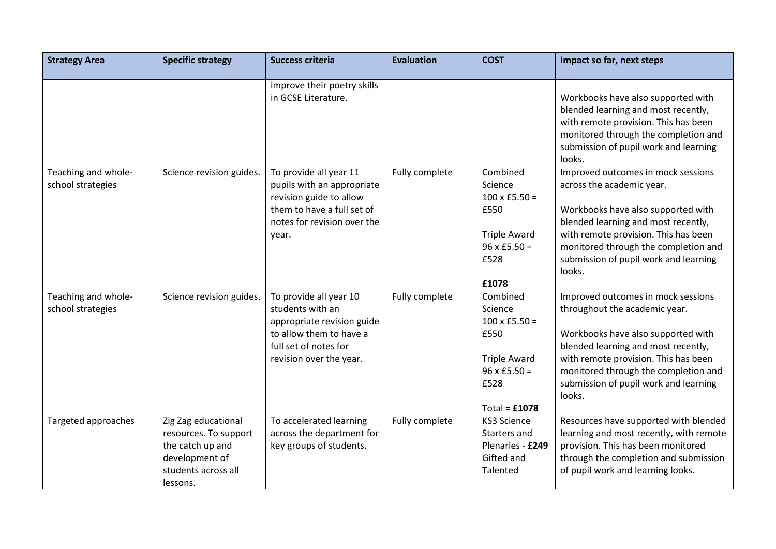| <b>Strategy Area</b>                     | <b>Specific strategy</b>                                                                                              | <b>Success criteria</b>                                                                                                                                 | <b>Evaluation</b> | <b>COST</b>                                                                                                                  | Impact so far, next steps                                                                                                                                                                                                                                                           |
|------------------------------------------|-----------------------------------------------------------------------------------------------------------------------|---------------------------------------------------------------------------------------------------------------------------------------------------------|-------------------|------------------------------------------------------------------------------------------------------------------------------|-------------------------------------------------------------------------------------------------------------------------------------------------------------------------------------------------------------------------------------------------------------------------------------|
|                                          |                                                                                                                       | improve their poetry skills<br>in GCSE Literature.                                                                                                      |                   |                                                                                                                              | Workbooks have also supported with<br>blended learning and most recently,<br>with remote provision. This has been<br>monitored through the completion and<br>submission of pupil work and learning<br>looks.                                                                        |
| Teaching and whole-<br>school strategies | Science revision guides.                                                                                              | To provide all year 11<br>pupils with an appropriate<br>revision guide to allow<br>them to have a full set of<br>notes for revision over the<br>year.   | Fully complete    | Combined<br>Science<br>$100 \times £5.50 =$<br>£550<br><b>Triple Award</b><br>$96 \times £5.50 =$<br>£528<br>£1078           | Improved outcomes in mock sessions<br>across the academic year.<br>Workbooks have also supported with<br>blended learning and most recently,<br>with remote provision. This has been<br>monitored through the completion and<br>submission of pupil work and learning<br>looks.     |
| Teaching and whole-<br>school strategies | Science revision guides.                                                                                              | To provide all year 10<br>students with an<br>appropriate revision guide<br>to allow them to have a<br>full set of notes for<br>revision over the year. | Fully complete    | Combined<br>Science<br>$100 \times £5.50 =$<br>£550<br><b>Triple Award</b><br>$96 \times £5.50 =$<br>£528<br>Total = $£1078$ | Improved outcomes in mock sessions<br>throughout the academic year.<br>Workbooks have also supported with<br>blended learning and most recently,<br>with remote provision. This has been<br>monitored through the completion and<br>submission of pupil work and learning<br>looks. |
| Targeted approaches                      | Zig Zag educational<br>resources. To support<br>the catch up and<br>development of<br>students across all<br>lessons. | To accelerated learning<br>across the department for<br>key groups of students.                                                                         | Fully complete    | <b>KS3 Science</b><br>Starters and<br>Plenaries - £249<br>Gifted and<br>Talented                                             | Resources have supported with blended<br>learning and most recently, with remote<br>provision. This has been monitored<br>through the completion and submission<br>of pupil work and learning looks.                                                                                |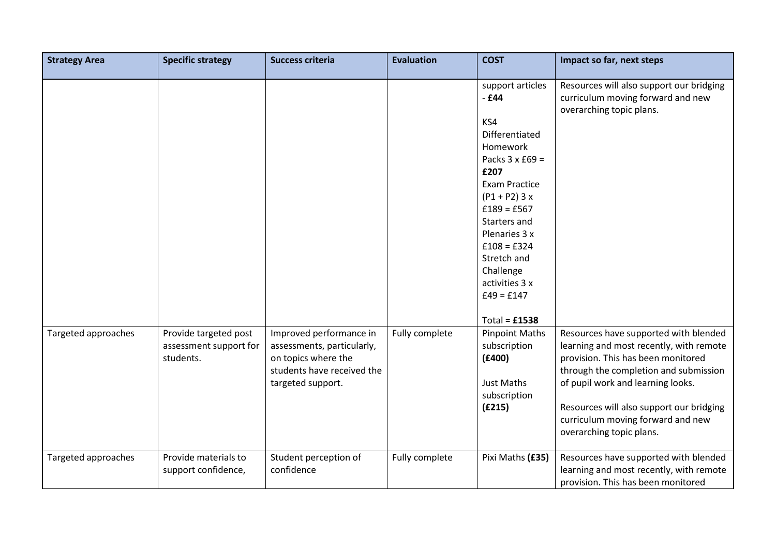| <b>Strategy Area</b> | <b>Specific strategy</b>                                     | <b>Success criteria</b>                                                                                                         | <b>Evaluation</b> | <b>COST</b>                                                                                                                                                                                                                                                                                      | Impact so far, next steps                                                                                                                                                                                                                                                                                         |
|----------------------|--------------------------------------------------------------|---------------------------------------------------------------------------------------------------------------------------------|-------------------|--------------------------------------------------------------------------------------------------------------------------------------------------------------------------------------------------------------------------------------------------------------------------------------------------|-------------------------------------------------------------------------------------------------------------------------------------------------------------------------------------------------------------------------------------------------------------------------------------------------------------------|
|                      |                                                              |                                                                                                                                 |                   | support articles<br>$-E44$<br>KS4<br>Differentiated<br>Homework<br>Packs $3 \times £69 =$<br>£207<br><b>Exam Practice</b><br>$(P1 + P2)$ 3 x<br>$£189 = £567$<br>Starters and<br>Plenaries 3 x<br>$£108 = £324$<br>Stretch and<br>Challenge<br>activities 3 x<br>$£49 = £147$<br>Total = $£1538$ | Resources will also support our bridging<br>curriculum moving forward and new<br>overarching topic plans.                                                                                                                                                                                                         |
| Targeted approaches  | Provide targeted post<br>assessment support for<br>students. | Improved performance in<br>assessments, particularly,<br>on topics where the<br>students have received the<br>targeted support. | Fully complete    | <b>Pinpoint Maths</b><br>subscription<br>(E400)<br>Just Maths<br>subscription<br>(E215)                                                                                                                                                                                                          | Resources have supported with blended<br>learning and most recently, with remote<br>provision. This has been monitored<br>through the completion and submission<br>of pupil work and learning looks.<br>Resources will also support our bridging<br>curriculum moving forward and new<br>overarching topic plans. |
| Targeted approaches  | Provide materials to<br>support confidence,                  | Student perception of<br>confidence                                                                                             | Fully complete    | Pixi Maths (£35)                                                                                                                                                                                                                                                                                 | Resources have supported with blended<br>learning and most recently, with remote<br>provision. This has been monitored                                                                                                                                                                                            |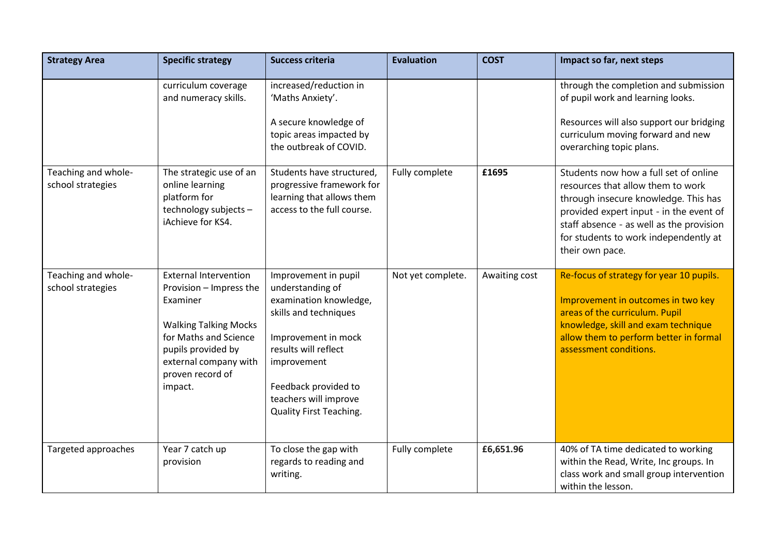| <b>Strategy Area</b>                     | <b>Specific strategy</b>                                                                                                                                                                                   | <b>Success criteria</b>                                                                                                                                                                                                                      | <b>Evaluation</b> | <b>COST</b>   | Impact so far, next steps                                                                                                                                                                                                                                             |
|------------------------------------------|------------------------------------------------------------------------------------------------------------------------------------------------------------------------------------------------------------|----------------------------------------------------------------------------------------------------------------------------------------------------------------------------------------------------------------------------------------------|-------------------|---------------|-----------------------------------------------------------------------------------------------------------------------------------------------------------------------------------------------------------------------------------------------------------------------|
|                                          | curriculum coverage<br>and numeracy skills.                                                                                                                                                                | increased/reduction in<br>'Maths Anxiety'.<br>A secure knowledge of<br>topic areas impacted by<br>the outbreak of COVID.                                                                                                                     |                   |               | through the completion and submission<br>of pupil work and learning looks.<br>Resources will also support our bridging<br>curriculum moving forward and new<br>overarching topic plans.                                                                               |
| Teaching and whole-<br>school strategies | The strategic use of an<br>online learning<br>platform for<br>technology subjects -<br>iAchieve for KS4.                                                                                                   | Students have structured,<br>progressive framework for<br>learning that allows them<br>access to the full course.                                                                                                                            | Fully complete    | £1695         | Students now how a full set of online<br>resources that allow them to work<br>through insecure knowledge. This has<br>provided expert input - in the event of<br>staff absence - as well as the provision<br>for students to work independently at<br>their own pace. |
| Teaching and whole-<br>school strategies | <b>External Intervention</b><br>Provision - Impress the<br>Examiner<br><b>Walking Talking Mocks</b><br>for Maths and Science<br>pupils provided by<br>external company with<br>proven record of<br>impact. | Improvement in pupil<br>understanding of<br>examination knowledge,<br>skills and techniques<br>Improvement in mock<br>results will reflect<br>improvement<br>Feedback provided to<br>teachers will improve<br><b>Quality First Teaching.</b> | Not yet complete. | Awaiting cost | Re-focus of strategy for year 10 pupils.<br>Improvement in outcomes in two key<br>areas of the curriculum. Pupil<br>knowledge, skill and exam technique<br>allow them to perform better in formal<br>assessment conditions.                                           |
| Targeted approaches                      | Year 7 catch up<br>provision                                                                                                                                                                               | To close the gap with<br>regards to reading and<br>writing.                                                                                                                                                                                  | Fully complete    | £6,651.96     | 40% of TA time dedicated to working<br>within the Read, Write, Inc groups. In<br>class work and small group intervention<br>within the lesson.                                                                                                                        |